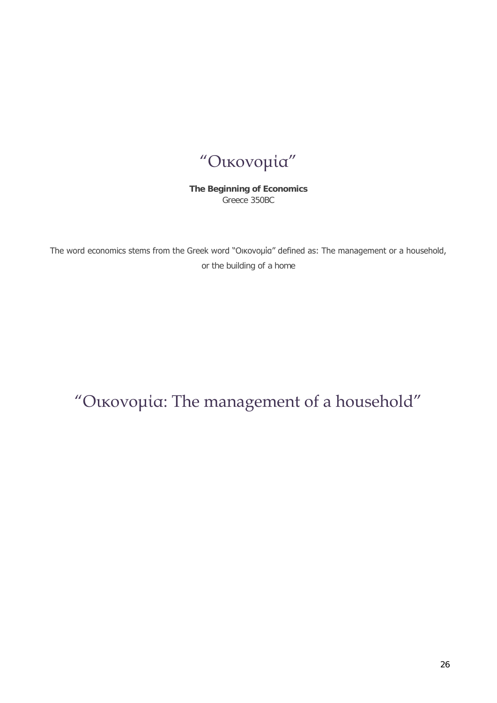## "Οικονομία"

**The Beginning of Economics** Greece 350BC

The word economics stems from the Greek word "Οικονομία" defined as: The management or a household, or the building of a home

## "Οικονομία: The management of a household"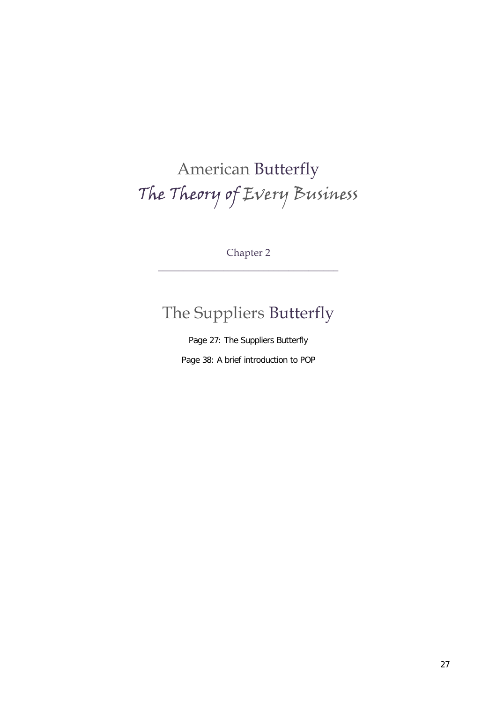# American Butterfly The Theory of Every Business

Chapter 2 \_\_\_\_\_\_\_\_\_\_\_\_\_\_\_\_\_\_\_\_\_\_\_\_\_\_\_\_\_\_\_\_\_\_\_\_

#### The Suppliers Butterfly

Page 27: The Suppliers Butterfly

Page 38: A brief introduction to POP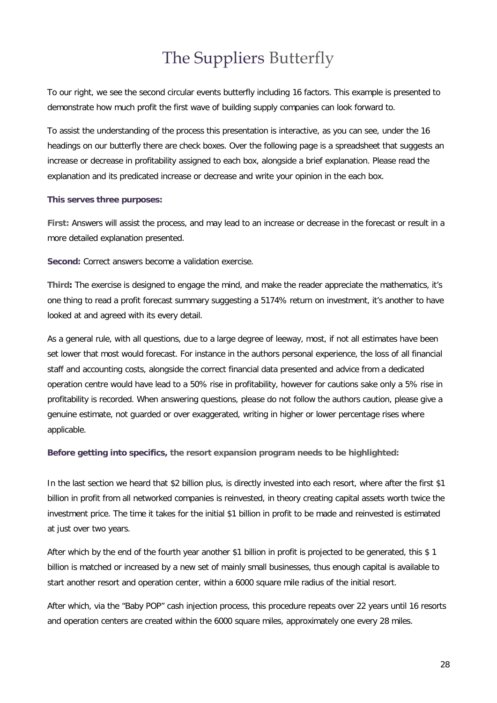## The Suppliers Butterfly

To our right, we see the second circular events butterfly including 16 factors. This example is presented to demonstrate how much profit the first wave of building supply companies can look forward to.

To assist the understanding of the process this presentation is interactive, as you can see, under the 16 headings on our butterfly there are check boxes. Over the following page is a spreadsheet that suggests an increase or decrease in profitability assigned to each box, alongside a brief explanation. Please read the explanation and its predicated increase or decrease and write your opinion in the each box.

#### **This serves three purposes:**

**First:** Answers will assist the process, and may lead to an increase or decrease in the forecast or result in a more detailed explanation presented.

**Second:** Correct answers become a validation exercise.

**Third:** The exercise is designed to engage the mind, and make the reader appreciate the mathematics, it's one thing to read a profit forecast summary suggesting a 5174% return on investment, it's another to have looked at and agreed with its every detail.

As a general rule, with all questions, due to a large degree of leeway, most, if not all estimates have been set lower that most would forecast. For instance in the authors personal experience, the loss of all financial staff and accounting costs, alongside the correct financial data presented and advice from a dedicated operation centre would have lead to a 50% rise in profitability, however for cautions sake only a 5% rise in profitability is recorded. When answering questions, please do not follow the authors caution, please give a genuine estimate, not guarded or over exaggerated, writing in higher or lower percentage rises where applicable.

**Before getting into specifics, the resort expansion program needs to be highlighted:**

In the last section we heard that \$2 billion plus, is directly invested into each resort, where after the first \$1 billion in profit from all networked companies is reinvested, in theory creating capital assets worth twice the investment price. The time it takes for the initial \$1 billion in profit to be made and reinvested is estimated at just over two years.

After which by the end of the fourth year another \$1 billion in profit is projected to be generated, this \$ 1 billion is matched or increased by a new set of mainly small businesses, thus enough capital is available to start another resort and operation center, within a 6000 square mile radius of the initial resort.

After which, via the "Baby POP" cash injection process, this procedure repeats over 22 years until 16 resorts and operation centers are created within the 6000 square miles, approximately one every 28 miles.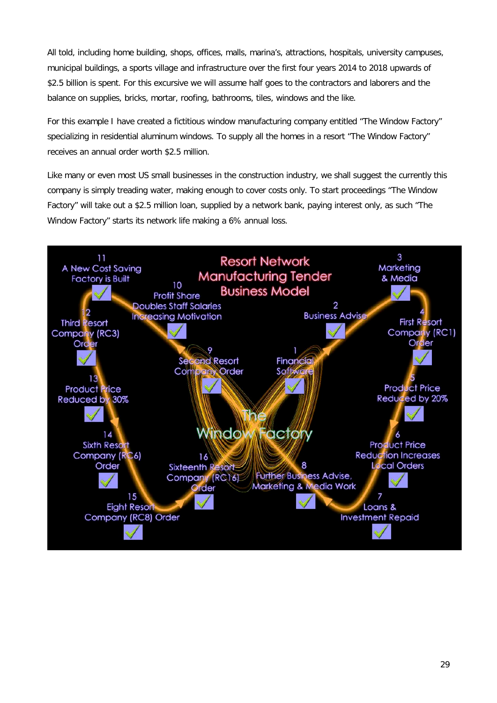All told, including home building, shops, offices, malls, marina's, attractions, hospitals, university campuses, municipal buildings, a sports village and infrastructure over the first four years 2014 to 2018 upwards of \$2.5 billion is spent. For this excursive we will assume half goes to the contractors and laborers and the balance on supplies, bricks, mortar, roofing, bathrooms, tiles, windows and the like.

For this example I have created a fictitious window manufacturing company entitled "The Window Factory" specializing in residential aluminum windows. To supply all the homes in a resort "The Window Factory" receives an annual order worth \$2.5 million.

Like many or even most US small businesses in the construction industry, we shall suggest the currently this company is simply treading water, making enough to cover costs only. To start proceedings "The Window Factory" will take out a \$2.5 million loan, supplied by a network bank, paying interest only, as such "The Window Factory" starts its network life making a 6% annual loss.

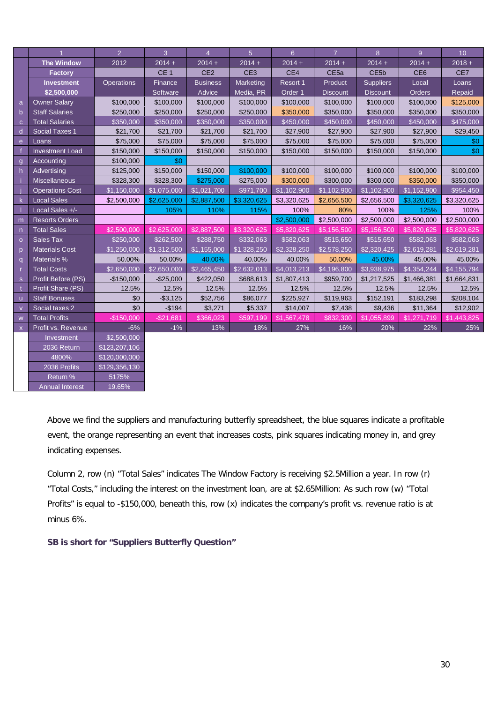|                |                        | $\overline{2}$    | $\overline{3}$  | $\overline{4}$  | 5 <sup>5</sup>  | 6 <sup>1</sup> | $\overline{7}$   | 8                 | 9 <sup>°</sup>  | 10          |
|----------------|------------------------|-------------------|-----------------|-----------------|-----------------|----------------|------------------|-------------------|-----------------|-------------|
|                | <b>The Window</b>      | 2012              | $2014 +$        | $2014 +$        | $2014 +$        | $2014 +$       | $2014 +$         | $2014 +$          | $2014 +$        | $2018 +$    |
|                | <b>Factory</b>         |                   | CE <sub>1</sub> | CE <sub>2</sub> | CE <sub>3</sub> | CE4            | CE <sub>5a</sub> | CE <sub>5</sub> b | CE <sub>6</sub> | CE7         |
|                | <b>Investment</b>      | <b>Operations</b> | Finance         | <b>Business</b> | Marketing       | Resort 1       | Product          | <b>Suppliers</b>  | Local           | Loans       |
|                | \$2,500,000            |                   | Software        | Advice          | Media, PR       | Order 1        | <b>Discount</b>  | <b>Discount</b>   | Orders          | Repaid      |
| a              | <b>Owner Salary</b>    | \$100,000         | \$100,000       | \$100,000       | \$100,000       | \$100,000      | \$100,000        | \$100,000         | \$100,000       | \$125,000   |
| $\mathsf{b}$   | <b>Staff Salaries</b>  | \$250.000         | \$250,000       | \$250,000       | \$250,000       | \$350,000      | \$350,000        | \$350,000         | \$350.000       | \$350.000   |
| $\overline{C}$ | <b>Total Salaries</b>  | \$350,000         | \$350,000       | \$350,000       | \$350,000       | \$450,000      | \$450,000        | \$450,000         | \$450,000       | \$475,000   |
| d              | Social Taxes 1         | \$21,700          | \$21,700        | \$21,700        | \$21,700        | \$27,900       | \$27,900         | \$27,900          | \$27,900        | \$29,450    |
| e              | Loans                  | \$75,000          | \$75,000        | \$75,000        | \$75,000        | \$75,000       | \$75,000         | \$75,000          | \$75,000        | \$0         |
|                | <b>Investment Load</b> | \$150,000         | \$150,000       | \$150,000       | \$150,000       | \$150,000      | \$150,000        | \$150,000         | \$150,000       | \$0         |
| $\mathbf{q}$   | Accounting             | \$100,000         | \$0             |                 |                 |                |                  |                   |                 |             |
| h              | Advertising            | \$125,000         | \$150,000       | \$150,000       | \$100,000       | \$100,000      | \$100,000        | \$100,000         | \$100,000       | \$100,000   |
|                | Miscellaneous          | \$328,300         | \$328,300       | \$275,000       | \$275,000       | \$300,000      | \$300,000        | \$300,000         | \$350,000       | \$350,000   |
|                | <b>Operations Cost</b> | \$1,150,000       | \$1,075,000     | \$1,021,700     | \$971,700       | \$1,102,900    | \$1,102,900      | \$1,102,900       | \$1,152,900     | \$954,450   |
| k              | <b>Local Sales</b>     | \$2,500,000       | \$2,625,000     | \$2,887,500     | \$3,320,625     | \$3,320,625    | \$2,656,500      | \$2,656,500       | \$3,320,625     | \$3,320,625 |
|                | Local Sales +/-        |                   | 105%            | 110%            | 115%            | 100%           | 80%              | 100%              | 125%            | 100%        |
| m              | <b>Resorts Orders</b>  |                   |                 |                 |                 | \$2,500,000    | \$2,500,000      | \$2,500,000       | \$2,500,000     | \$2,500,000 |
| $\mathsf{n}$   | <b>Total Sales</b>     | \$2,500,000       | \$2,625,000     | \$2,887,500     | \$3,320,625     | \$5,820,625    | \$5,156,500      | \$5,156,500       | \$5,820,625     | \$5,820,625 |
| $\Omega$       | Sales Tax              | \$250,000         | \$262,500       | \$288,750       | \$332,063       | \$582,063      | \$515,650        | \$515,650         | \$582,063       | \$582,063   |
| $\overline{D}$ | <b>Materials Cost</b>  | \$1,250,000       | \$1,312,500     | \$1,155,000     | \$1,328,250     | \$2,328,250    | \$2,578,250      | \$2,320,425       | \$2,619,281     | \$2,619,281 |
| q              | Materials %            | 50.00%            | 50.00%          | 40.00%          | 40.00%          | 40.00%         | 50.00%           | 45.00%            | 45.00%          | 45.00%      |
| r              | <b>Total Costs</b>     | \$2,650,000       | \$2,650,000     | \$2,465,450     | \$2,632,013     | \$4,013,213    | \$4,196,800      | \$3,938,975       | \$4,354,244     | \$4,155,794 |
| s              | Profit Before (PS)     | $-$150,000$       | $-$25,000$      | \$422,050       | \$688,613       | \$1,807,413    | \$959,700        | \$1,217,525       | \$1,466,381     | \$1,664,831 |
|                | Profit Share (PS)      | 12.5%             | 12.5%           | 12.5%           | 12.5%           | 12.5%          | 12.5%            | 12.5%             | 12.5%           | 12.5%       |
| u              | <b>Staff Bonuses</b>   | \$0               | $- $3,125$      | \$52,756        | \$86,077        | \$225,927      | \$119,963        | \$152,191         | \$183,298       | \$208,104   |
| $\overline{V}$ | Social taxes 2         | \$0               | $-$194$         | \$3,271         | \$5,337         | \$14,007       | \$7,438          | \$9,436           | \$11,364        | \$12,902    |
| W              | <b>Total Profits</b>   | $-$150.000$       | $-$21,681$      | \$366,023       | \$597,199       | \$1,567,478    | \$832,300        | \$1,055,899       | \$1,271,719     | \$1,443,825 |
| $\mathsf{x}$   | Profit vs. Revenue     | $-6%$             | $-1%$           | 13%             | 18%             | 27%            | 16%              | 20%               | 22%             | 25%         |
|                | Investment             | \$2,500,000       |                 |                 |                 |                |                  |                   |                 |             |
|                | 2036 Return            | \$123,207,106     |                 |                 |                 |                |                  |                   |                 |             |
|                | 4800%                  | \$120,000,000     |                 |                 |                 |                |                  |                   |                 |             |
|                | 2036 Profits           | \$129,356,130     |                 |                 |                 |                |                  |                   |                 |             |
|                | Return %               | 5175%             |                 |                 |                 |                |                  |                   |                 |             |
|                | <b>Annual Interest</b> | 19.65%            |                 |                 |                 |                |                  |                   |                 |             |

Above we find the suppliers and manufacturing butterfly spreadsheet, the blue squares indicate a profitable event, the orange representing an event that increases costs, pink squares indicating money in, and grey indicating expenses.

Column 2, row (n) "Total Sales" indicates The Window Factory is receiving \$2.5Million a year. In row (r) "Total Costs," including the interest on the investment loan, are at \$2.65Million: As such row (w) "Total Profits" is equal to -\$150,000, beneath this, row (x) indicates the company's profit vs. revenue ratio is at minus 6%.

**SB is short for "Suppliers Butterfly Question"**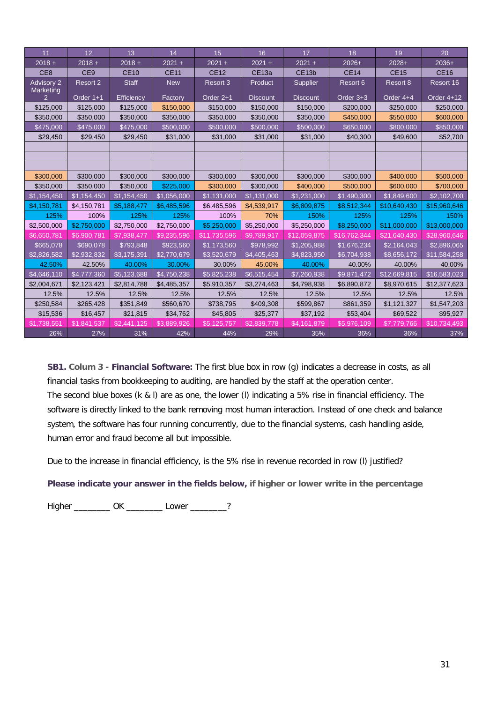| 11                             | 12              | 13                      | 14          | 15           | 16                | 17                | 18           | 19           | 20           |
|--------------------------------|-----------------|-------------------------|-------------|--------------|-------------------|-------------------|--------------|--------------|--------------|
| $2018 +$                       | $2018 +$        | $2018 +$                | $2021 +$    | $2021 +$     | $2021 +$          | $2021 +$          | $2026+$      | $2028+$      | $2036+$      |
| CE <sub>8</sub>                | CE <sub>9</sub> | <b>CE10</b>             | <b>CE11</b> | <b>CE12</b>  | CE <sub>13a</sub> | CE <sub>13b</sub> | <b>CE14</b>  | <b>CE15</b>  | <b>CE16</b>  |
| <b>Advisory 2</b><br>Marketing | <b>Resort 2</b> | <b>Staff</b>            | <b>New</b>  | Resort 3     | Product           | Supplier          | Resort 6     | Resort 8     | Resort 16    |
|                                | Order 1+1       | Efficiency              | Factory     | Order 2+1    | <b>Discount</b>   | <b>Discount</b>   | Order 3+3    | Order 4+4    | Order 4+12   |
| \$125,000                      | \$125,000       | \$125,000               | \$150,000   | \$150,000    | \$150,000         | \$150,000         | \$200,000    | \$250,000    | \$250,000    |
| \$350,000                      | \$350,000       | \$350,000               | \$350,000   | \$350,000    | \$350,000         | \$350,000         | \$450,000    | \$550,000    | \$600,000    |
| \$475,000                      | \$475,000       | \$475,000               | \$500,000   | \$500,000    | \$500,000         | \$500,000         | \$650,000    | \$800,000    | \$850,000    |
| \$29,450                       | \$29,450        | \$29,450                | \$31,000    | \$31,000     | \$31,000          | \$31,000          | \$40,300     | \$49,600     | \$52,700     |
|                                |                 |                         |             |              |                   |                   |              |              |              |
|                                |                 |                         |             |              |                   |                   |              |              |              |
|                                |                 |                         |             |              |                   |                   |              |              |              |
| \$300,000                      | \$300,000       | \$300,000               | \$300,000   | \$300,000    | \$300,000         | \$300,000         | \$300,000    | \$400,000    | \$500,000    |
| \$350,000                      | \$350,000       | \$350,000               | \$225,000   | \$300,000    | \$300,000         | \$400,000         | \$500,000    | \$600,000    | \$700,000    |
| \$1,154,450                    | \$1,154,450     | \$1,154,450             | \$1,056,000 | \$1,131,000  | \$1,131,000       | \$1,231,000       | \$1,490,300  | \$1,849,600  | \$2,102,700  |
| \$4,150,781                    | \$4,150,781     | \$5,188,477             | \$6,485,596 | \$6,485,596  | \$4,539,917       | \$6,809,875       | \$8,512,344  | \$10,640,430 | \$15,960,646 |
| 125%                           | 100%            | 125%                    | 125%        | 100%         | 70%               | 150%              | 125%         | 125%         | 150%         |
| \$2,500,000                    | \$2,750,000     | \$2,750,000             | \$2,750,000 | \$5,250,000  | \$5,250,000       | \$5,250,000       | \$8,250,000  | \$11,000,000 | \$13,000,000 |
| \$6,650,781                    | \$6,900.781     | \$7,938,477             | \$9,235,596 | \$11,735,596 | \$9,789,917       | \$12,059,875      | \$16,762,344 | \$21,640,430 | \$28,960,646 |
| \$665,078                      | \$690,078       | \$793,848               | \$923,560   | \$1,173,560  | \$978,992         | \$1,205,988       | \$1,676,234  | \$2,164,043  | \$2,896,065  |
| \$2,826,582                    | \$2,932,832     | \$3,175,391             | \$2,770,679 | \$3,520,679  | \$4,405,463       | \$4,823,950       | \$6,704,938  | \$8,656,172  | \$11,584,258 |
| 42.50%                         | 42.50%          | 40.00%                  | 30.00%      | 30.00%       | 45.00%            | 40.00%            | 40.00%       | 40.00%       | 40.00%       |
| \$4,646,110                    | \$4,777,360     | $$5,12\overline{3,688}$ | \$4,750,238 | \$5,825,238  | \$6,515,454       | \$7,260,938       | \$9,871,472  | \$12,669,815 | \$16,583,023 |
| \$2,004,671                    | \$2,123,421     | \$2,814,788             | \$4,485,357 | \$5,910,357  | \$3,274,463       | \$4,798,938       | \$6,890,872  | \$8,970,615  | \$12,377,623 |
| 12.5%                          | 12.5%           | 12.5%                   | 12.5%       | 12.5%        | 12.5%             | 12.5%             | 12.5%        | 12.5%        | 12.5%        |
| \$250,584                      | \$265,428       | \$351,849               | \$560,670   | \$738,795    | \$409,308         | \$599,867         | \$861,359    | \$1,121,327  | \$1,547,203  |
| \$15,536                       | \$16,457        | \$21,815                | \$34,762    | \$45,805     | \$25,377          | \$37,192          | \$53,404     | \$69,522     | \$95,927     |
| \$1,738,551                    | \$1,841,537     | \$2,441,125             | \$3,889,926 | \$5,125,757  | \$2,839,778       | \$4,161,879       | \$5,976,109  | \$7,779,766  | \$10,734,493 |
| 26%                            | 27%             | 31%                     | 42%         | 44%          | 29%               | 35%               | 36%          | 36%          | 37%          |

**SB1. Colum 3 - Financial Software:** The first blue box in row (g) indicates a decrease in costs, as all financial tasks from bookkeeping to auditing, are handled by the staff at the operation center. The second blue boxes (k & l) are as one, the lower (l) indicating a 5% rise in financial efficiency. The software is directly linked to the bank removing most human interaction. Instead of one check and balance system, the software has four running concurrently, due to the financial systems, cash handling aside, human error and fraud become all but impossible.

Due to the increase in financial efficiency, is the 5% rise in revenue recorded in row (l) justified?

**Please indicate your answer in the fields below, if higher or lower write in the percentage**

Higher \_\_\_\_\_\_\_\_\_ OK \_\_\_\_\_\_\_\_ Lower \_\_\_\_\_\_\_?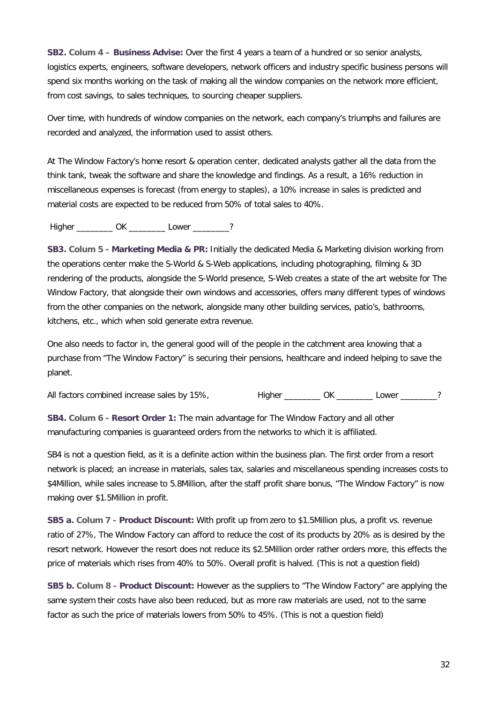**SB2. Colum 4 – Business Advise:** Over the first 4 years a team of a hundred or so senior analysts, logistics experts, engineers, software developers, network officers and industry specific business persons will spend six months working on the task of making all the window companies on the network more efficient, from cost savings, to sales techniques, to sourcing cheaper suppliers.

Over time, with hundreds of window companies on the network, each company's triumphs and failures are recorded and analyzed, the information used to assist others.

At The Window Factory's home resort & operation center, dedicated analysts gather all the data from the think tank, tweak the software and share the knowledge and findings. As a result, a 16% reduction in miscellaneous expenses is forecast (from energy to staples), a 10% increase in sales is predicted and material costs are expected to be reduced from 50% of total sales to 40%.

Higher \_\_\_\_\_\_\_\_\_ OK \_\_\_\_\_\_\_\_ Lower \_\_\_\_\_\_\_?

**SB3. Colum 5 - Marketing Media & PR:** Initially the dedicated Media & Marketing division working from the operations center make the S-World & S-Web applications, including photographing, filming & 3D rendering of the products, alongside the S-World presence, S-Web creates a state of the art website for The Window Factory, that alongside their own windows and accessories, offers many different types of windows from the other companies on the network, alongside many other building services, patio's, bathrooms, kitchens, etc., which when sold generate extra revenue.

One also needs to factor in, the general good will of the people in the catchment area knowing that a purchase from "The Window Factory" is securing their pensions, healthcare and indeed helping to save the planet.

All factors combined increase sales by 15%, Higher \_\_\_\_\_\_\_\_ OK \_\_\_\_\_\_\_\_ Lower \_\_\_\_\_\_?

**SB4. Colum 6 - Resort Order 1:** The main advantage for The Window Factory and all other manufacturing companies is guaranteed orders from the networks to which it is affiliated.

SB4 is not a question field, as it is a definite action within the business plan. The first order from a resort network is placed; an increase in materials, sales tax, salaries and miscellaneous spending increases costs to \$4Million, while sales increase to 5.8Million, after the staff profit share bonus, "The Window Factory" is now making over \$1.5Million in profit.

**SB5 a. Colum 7 - Product Discount:** With profit up from zero to \$1.5Million plus, a profit vs. revenue ratio of 27%, The Window Factory can afford to reduce the cost of its products by 20% as is desired by the resort network. However the resort does not reduce its \$2.5Million order rather orders more, this effects the price of materials which rises from 40% to 50%. Overall profit is halved. (This is not a question field)

**SB5 b. Colum 8 - Product Discount:** However as the suppliers to "The Window Factory" are applying the same system their costs have also been reduced, but as more raw materials are used, not to the same factor as such the price of materials lowers from 50% to 45%. (This is not a question field)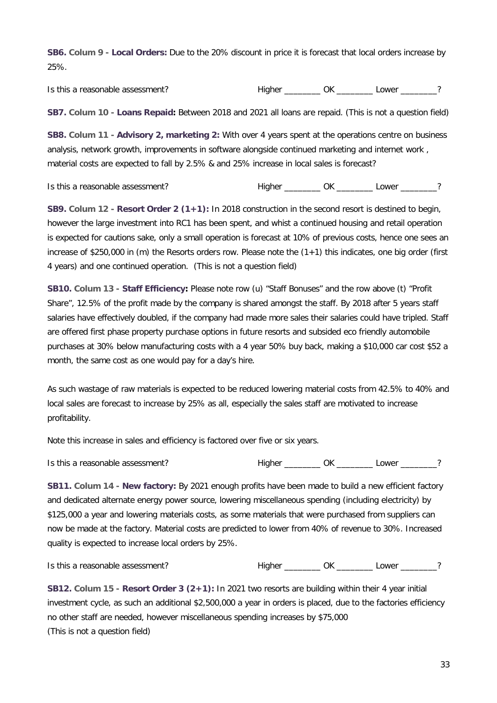**SB6. Colum 9 - Local Orders:** Due to the 20% discount in price it is forecast that local orders increase by 25%.

Is this a reasonable assessment? This higher This areasonable assessment?

**SB7. Colum 10 - Loans Repaid:** Between 2018 and 2021 all loans are repaid. (This is not a question field)

**SB8. Colum 11 - Advisory 2, marketing 2:** With over 4 years spent at the operations centre on business analysis, network growth, improvements in software alongside continued marketing and internet work , material costs are expected to fall by 2.5% & and 25% increase in local sales is forecast?

Is this a reasonable assessment? Higher \_\_\_\_\_\_\_\_ OK \_\_\_\_\_\_\_ Lower \_\_\_\_\_\_?

**SB9. Colum 12 - Resort Order 2 (1+1):** In 2018 construction in the second resort is destined to begin, however the large investment into RC1 has been spent, and whist a continued housing and retail operation is expected for cautions sake, only a small operation is forecast at 10% of previous costs, hence one sees an increase of \$250,000 in (m) the Resorts orders row. Please note the (1+1) this indicates, one big order (first 4 years) and one continued operation. (This is not a question field)

**SB10. Colum 13 - Staff Efficiency:** Please note row (u) "Staff Bonuses" and the row above (t) "Profit Share", 12.5% of the profit made by the company is shared amongst the staff. By 2018 after 5 years staff salaries have effectively doubled, if the company had made more sales their salaries could have tripled. Staff are offered first phase property purchase options in future resorts and subsided eco friendly automobile purchases at 30% below manufacturing costs with a 4 year 50% buy back, making a \$10,000 car cost \$52 a month, the same cost as one would pay for a day's hire.

As such wastage of raw materials is expected to be reduced lowering material costs from 42.5% to 40% and local sales are forecast to increase by 25% as all, especially the sales staff are motivated to increase profitability.

Note this increase in sales and efficiency is factored over five or six years.

Is this a reasonable assessment?

| ligher | ١V |  | _ower |  |
|--------|----|--|-------|--|
|--------|----|--|-------|--|

**SB11. Colum 14 - New factory:** By 2021 enough profits have been made to build a new efficient factory and dedicated alternate energy power source, lowering miscellaneous spending (including electricity) by \$125,000 a year and lowering materials costs, as some materials that were purchased from suppliers can now be made at the factory. Material costs are predicted to lower from 40% of revenue to 30%. Increased quality is expected to increase local orders by 25%.

Is this a reasonable assessment? Higher \_\_\_\_\_\_\_\_ OK \_\_\_\_\_\_\_ Lower \_\_\_\_\_\_?

**SB12. Colum 15 - Resort Order 3 (2+1):** In 2021 two resorts are building within their 4 year initial investment cycle, as such an additional \$2,500,000 a year in orders is placed, due to the factories efficiency no other staff are needed, however miscellaneous spending increases by \$75,000 (This is not a question field)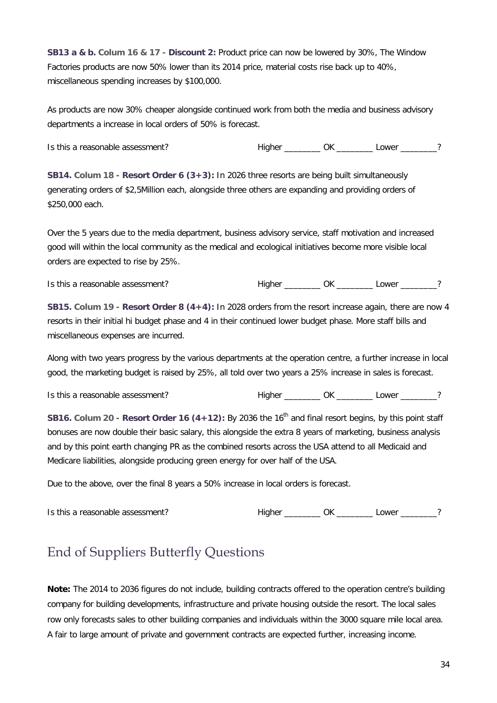**SB13 a & b. Colum 16 & 17 - Discount 2:** Product price can now be lowered by 30%, The Window Factories products are now 50% lower than its 2014 price, material costs rise back up to 40%, miscellaneous spending increases by \$100,000.

As products are now 30% cheaper alongside continued work from both the media and business advisory departments a increase in local orders of 50% is forecast.

Is this a reasonable assessment? The Higher Theorem CK Lower 2

**SB14. Colum 18 - Resort Order 6 (3+3):** In 2026 three resorts are being built simultaneously generating orders of \$2,5Million each, alongside three others are expanding and providing orders of \$250,000 each.

Over the 5 years due to the media department, business advisory service, staff motivation and increased good will within the local community as the medical and ecological initiatives become more visible local orders are expected to rise by 25%.

Is this a reasonable assessment? Higher \_\_\_\_\_\_\_\_ OK \_\_\_\_\_\_\_ Lower \_\_\_\_\_\_?

**SB15. Colum 19 - Resort Order 8 (4+4):** In 2028 orders from the resort increase again, there are now 4 resorts in their initial hi budget phase and 4 in their continued lower budget phase. More staff bills and miscellaneous expenses are incurred.

Along with two years progress by the various departments at the operation centre, a further increase in local good, the marketing budget is raised by 25%, all told over two years a 25% increase in sales is forecast.

Is this a reasonable assessment? Higher \_\_\_\_\_\_\_\_ OK \_\_\_\_\_\_\_ Lower \_\_\_\_\_\_?

**SB16.** Colum 20 - Resort Order 16 (4+12): By 2036 the 16<sup>th</sup> and final resort begins, by this point staff bonuses are now double their basic salary, this alongside the extra 8 years of marketing, business analysis and by this point earth changing PR as the combined resorts across the USA attend to all Medicaid and Medicare liabilities, alongside producing green energy for over half of the USA.

Due to the above, over the final 8 years a 50% increase in local orders is forecast.

| Is this<br>s a reasonable assessment?<br>$\sim$ $\sim$ $\sim$ $\sim$ $\sim$ $\sim$ | . . | ٦k | <b>OWAR</b> |  |
|------------------------------------------------------------------------------------|-----|----|-------------|--|
|                                                                                    |     |    |             |  |

#### End of Suppliers Butterfly Questions

**Note:** The 2014 to 2036 figures do not include, building contracts offered to the operation centre's building company for building developments, infrastructure and private housing outside the resort. The local sales row only forecasts sales to other building companies and individuals within the 3000 square mile local area. A fair to large amount of private and government contracts are expected further, increasing income.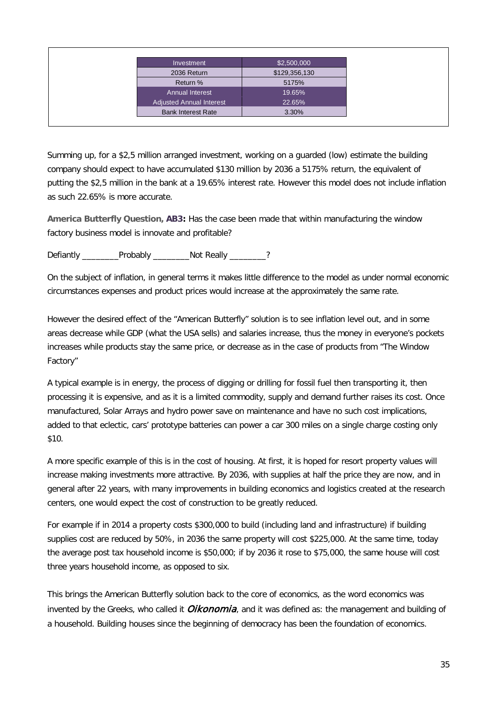| Investment                      | \$2,500,000   |
|---------------------------------|---------------|
| 2036 Return                     | \$129,356,130 |
| Return %                        | 5175%         |
| <b>Annual Interest</b>          | 19.65%        |
| <b>Adjusted Annual Interest</b> | 22.65%        |
| <b>Bank Interest Rate</b>       | 3.30%         |

Summing up, for a \$2,5 million arranged investment, working on a guarded (low) estimate the building company should expect to have accumulated \$130 million by 2036 a 5175% return, the equivalent of putting the \$2,5 million in the bank at a 19.65% interest rate. However this model does not include inflation as such 22.65% is more accurate.

**America Butterfly Question, AB3:** Has the case been made that within manufacturing the window factory business model is innovate and profitable?

Defiantly Probably Not Really 2

On the subject of inflation, in general terms it makes little difference to the model as under normal economic circumstances expenses and product prices would increase at the approximately the same rate.

However the desired effect of the "American Butterfly" solution is to see inflation level out, and in some areas decrease while GDP (what the USA sells) and salaries increase, thus the money in everyone's pockets increases while products stay the same price, or decrease as in the case of products from "The Window Factory"

A typical example is in energy, the process of digging or drilling for fossil fuel then transporting it, then processing it is expensive, and as it is a limited commodity, supply and demand further raises its cost. Once manufactured, Solar Arrays and hydro power save on maintenance and have no such cost implications, added to that eclectic, cars' prototype batteries can power a car 300 miles on a single charge costing only \$10.

A more specific example of this is in the cost of housing. At first, it is hoped for resort property values will increase making investments more attractive. By 2036, with supplies at half the price they are now, and in general after 22 years, with many improvements in building economics and logistics created at the research centers, one would expect the cost of construction to be greatly reduced.

For example if in 2014 a property costs \$300,000 to build (including land and infrastructure) if building supplies cost are reduced by 50%, in 2036 the same property will cost \$225,000. At the same time, today the average post tax household income is \$50,000; if by 2036 it rose to \$75,000, the same house will cost three years household income, as opposed to six.

This brings the American Butterfly solution back to the core of economics, as the word economics was invented by the Greeks, who called it *Oikonomia*, and it was defined as: the management and building of a household. Building houses since the beginning of democracy has been the foundation of economics.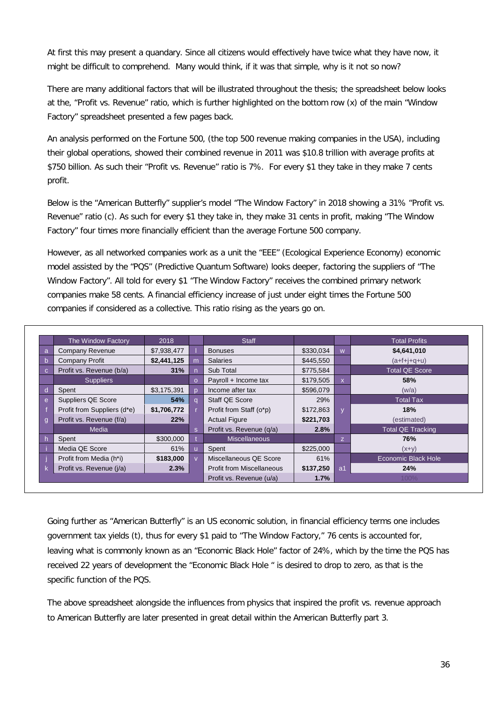At first this may present a quandary. Since all citizens would effectively have twice what they have now, it might be difficult to comprehend. Many would think, if it was that simple, why is it not so now?

There are many additional factors that will be illustrated throughout the thesis; the spreadsheet below looks at the, "Profit vs. Revenue" ratio, which is further highlighted on the bottom row (x) of the main "Window Factory" spreadsheet presented a few pages back.

An analysis performed on the Fortune 500, (the top 500 revenue making companies in the USA), including their global operations, showed their combined revenue in 2011 was \$10.8 trillion with average profits at \$750 billion. As such their "Profit vs. Revenue" ratio is 7%. For every \$1 they take in they make 7 cents profit.

Below is the "American Butterfly" supplier's model "The Window Factory" in 2018 showing a 31% "Profit vs. Revenue" ratio (c). As such for every \$1 they take in, they make 31 cents in profit, making "The Window Factory" four times more financially efficient than the average Fortune 500 company.

However, as all networked companies work as a unit the "EEE" (Ecological Experience Economy) economic model assisted by the "PQS" (Predictive Quantum Software) looks deeper, factoring the suppliers of "The Window Factory". All told for every \$1 "The Window Factory" receives the combined primary network companies make 58 cents. A financial efficiency increase of just under eight times the Fortune 500 companies if considered as a collective. This ratio rising as the years go on.

| The Window Factory                       | 2018        |              | <b>Staff</b>                     |           |              | <b>Total Profits</b>     |
|------------------------------------------|-------------|--------------|----------------------------------|-----------|--------------|--------------------------|
| Company Revenue<br>a                     | \$7,938,477 |              | <b>Bonuses</b>                   | \$330,034 | W            | \$4,641,010              |
| <b>Company Profit</b><br>n               | \$2,441,125 | m            | <b>Salaries</b>                  | \$445,550 |              | $(a + f + j + g + u)$    |
| Profit vs. Revenue (b/a)<br>$\mathbf{C}$ | 31%         |              | Sub Total                        | \$775,584 |              | <b>Total QE Score</b>    |
| <b>Suppliers</b>                         |             |              | Payroll + Income tax             | \$179,505 | $\mathsf{x}$ | 58%                      |
| Spent                                    | \$3,175,391 |              | Income after tax                 | \$596.079 |              | (w/a)                    |
| Suppliers QE Score<br>e                  | 54%         |              | Staff QE Score                   | 29%       |              | Total Tax                |
| Profit from Suppliers (d*e)              | \$1,706,772 |              | Profit from Staff (o*p)          | \$172,863 |              | 18%                      |
| Profit vs. Revenue (f/a)<br>g            | 22%         |              | <b>Actual Figure</b>             | \$221,703 |              | (estimated)              |
| Media                                    |             | <sub>S</sub> | Profit vs. Revenue (q/a)         | 2.8%      |              | <b>Total QE Tracking</b> |
| Spent                                    | \$300,000   |              | <b>Miscellaneous</b>             |           | Z.           | <b>76%</b>               |
| Media QE Score                           | 61%         |              | Spent                            | \$225,000 |              | $(x+y)$                  |
| Profit from Media (h*i)                  | \$183,000   |              | Miscellaneous QE Score           | 61%       |              | Economic Black Hole      |
| Profit vs. Revenue (j/a)                 | 2.3%        |              | <b>Profit from Miscellaneous</b> | \$137,250 | a1           | 24%                      |
|                                          |             |              | Profit vs. Revenue (u/a)         | 1.7%      |              | 100%                     |

Going further as "American Butterfly" is an US economic solution, in financial efficiency terms one includes government tax yields (t), thus for every \$1 paid to "The Window Factory," 76 cents is accounted for, leaving what is commonly known as an "Economic Black Hole" factor of 24%, which by the time the PQS has received 22 years of development the "Economic Black Hole " is desired to drop to zero, as that is the specific function of the PQS.

The above spreadsheet alongside the influences from physics that inspired the profit vs. revenue approach to American Butterfly are later presented in great detail within the American Butterfly part 3.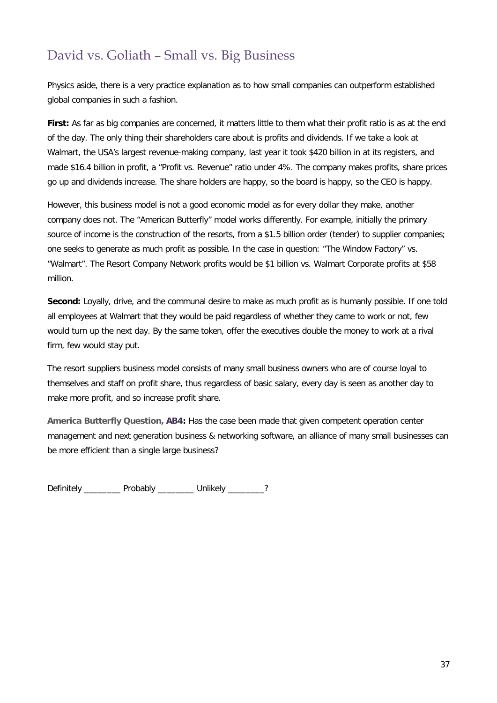#### David vs. Goliath – Small vs. Big Business

Physics aside, there is a very practice explanation as to how small companies can outperform established global companies in such a fashion.

First: As far as big companies are concerned, it matters little to them what their profit ratio is as at the end of the day. The only thing their shareholders care about is profits and dividends. If we take a look at Walmart, the USA's largest revenue-making company, last year it took \$420 billion in at its registers, and made \$16.4 billion in profit, a "Profit vs. Revenue" ratio under 4%. The company makes profits, share prices go up and dividends increase. The share holders are happy, so the board is happy, so the CEO is happy.

However, this business model is not a good economic model as for every dollar they make, another company does not. The "American Butterfly" model works differently. For example, initially the primary source of income is the construction of the resorts, from a \$1.5 billion order (tender) to supplier companies; one seeks to generate as much profit as possible. In the case in question: "The Window Factory" vs. "Walmart". The Resort Company Network profits would be \$1 billion vs. Walmart Corporate profits at \$58 million.

**Second:** Loyally, drive, and the communal desire to make as much profit as is humanly possible. If one told all employees at Walmart that they would be paid regardless of whether they came to work or not, few would turn up the next day. By the same token, offer the executives double the money to work at a rival firm, few would stay put.

The resort suppliers business model consists of many small business owners who are of course loyal to themselves and staff on profit share, thus regardless of basic salary, every day is seen as another day to make more profit, and so increase profit share.

**America Butterfly Question, AB4:** Has the case been made that given competent operation center management and next generation business & networking software, an alliance of many small businesses can be more efficient than a single large business?

Definitely \_\_\_\_\_\_\_\_ Probably \_\_\_\_\_\_\_\_ Unlikely \_\_\_\_\_\_\_\_?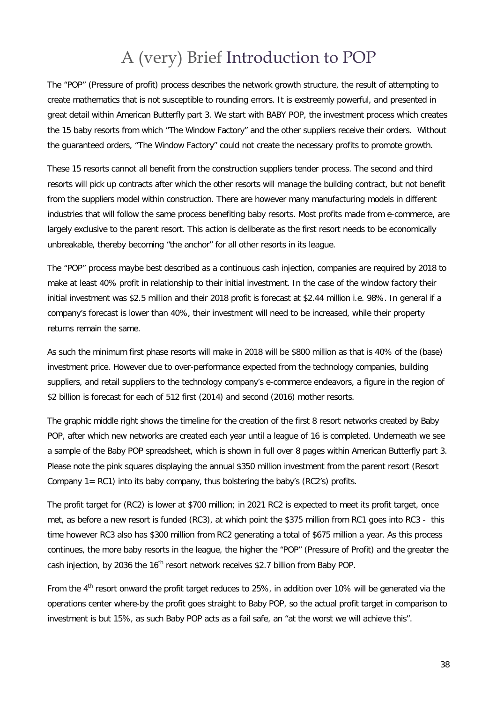## A (very) Brief Introduction to POP

The "POP" (Pressure of profit) process describes the network growth structure, the result of attempting to create mathematics that is not susceptible to rounding errors. It is exstreemly powerful, and presented in great detail within American Butterfly part 3. We start with BABY POP, the investment process which creates the 15 baby resorts from which "The Window Factory" and the other suppliers receive their orders. Without the guaranteed orders, "The Window Factory" could not create the necessary profits to promote growth.

These 15 resorts cannot all benefit from the construction suppliers tender process. The second and third resorts will pick up contracts after which the other resorts will manage the building contract, but not benefit from the suppliers model within construction. There are however many manufacturing models in different industries that will follow the same process benefiting baby resorts. Most profits made from e-commerce, are largely exclusive to the parent resort. This action is deliberate as the first resort needs to be economically unbreakable, thereby becoming "the anchor" for all other resorts in its league.

The "POP" process maybe best described as a continuous cash injection, companies are required by 2018 to make at least 40% profit in relationship to their initial investment. In the case of the window factory their initial investment was \$2.5 million and their 2018 profit is forecast at \$2.44 million i.e. 98%. In general if a company's forecast is lower than 40%, their investment will need to be increased, while their property returns remain the same.

As such the minimum first phase resorts will make in 2018 will be \$800 million as that is 40% of the (base) investment price. However due to over-performance expected from the technology companies, building suppliers, and retail suppliers to the technology company's e-commerce endeavors, a figure in the region of \$2 billion is forecast for each of 512 first (2014) and second (2016) mother resorts.

The graphic middle right shows the timeline for the creation of the first 8 resort networks created by Baby POP, after which new networks are created each year until a league of 16 is completed. Underneath we see a sample of the Baby POP spreadsheet, which is shown in full over 8 pages within American Butterfly part 3. Please note the pink squares displaying the annual \$350 million investment from the parent resort (Resort Company  $1= RC1$ ) into its baby company, thus bolstering the baby's ( $RC2$ 's) profits.

The profit target for (RC2) is lower at \$700 million; in 2021 RC2 is expected to meet its profit target, once met, as before a new resort is funded (RC3), at which point the \$375 million from RC1 goes into RC3 - this time however RC3 also has \$300 million from RC2 generating a total of \$675 million a year. As this process continues, the more baby resorts in the league, the higher the "POP" (Pressure of Profit) and the greater the cash injection, by 2036 the 16<sup>th</sup> resort network receives \$2.7 billion from Baby POP.

From the 4<sup>th</sup> resort onward the profit target reduces to 25%, in addition over 10% will be generated via the operations center where-by the profit goes straight to Baby POP, so the actual profit target in comparison to investment is but 15%, as such Baby POP acts as a fail safe, an "at the worst we will achieve this".